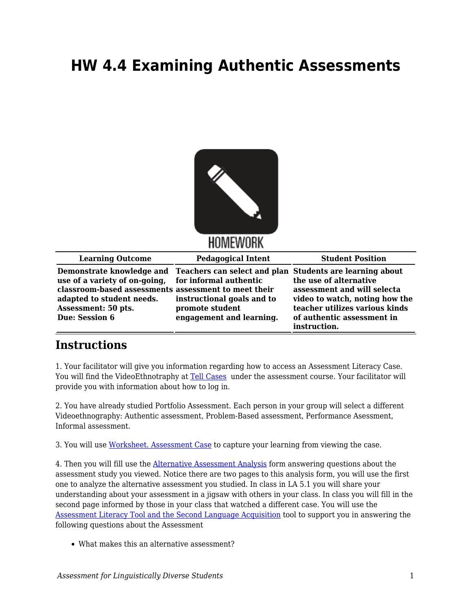## **HW 4.4 Examining Authentic Assessments**



HOMEWORK

| <b>Learning Outcome</b>                                                                                                                                                                   | <b>Pedagogical Intent</b>                                                                                                                                       | <b>Student Position</b>                                                                                                                                                 |
|-------------------------------------------------------------------------------------------------------------------------------------------------------------------------------------------|-----------------------------------------------------------------------------------------------------------------------------------------------------------------|-------------------------------------------------------------------------------------------------------------------------------------------------------------------------|
| use of a variety of on-going, for informal authentic<br>classroom-based assessments assessment to meet their<br>adapted to student needs.<br>Assessment: 50 pts.<br><b>Due: Session 6</b> | Demonstrate knowledge and Teachers can select and plan Students are learning about<br>instructional goals and to<br>promote student<br>engagement and learning. | the use of alternative<br>assessment and will selecta<br>video to watch, noting how the<br>teacher utilizes various kinds<br>of authentic assessment in<br>instruction. |

## **Instructions**

1. Your facilitator will give you information regarding how to access an Assessment Literacy Case. You will find the VideoEthnotraphy at [Tell Cases](https://tellcases.byu.edu/) under the assessment course. Your facilitator will provide you with information about how to log in.

2. You have already studied Portfolio Assessment. Each person in your group will select a different Videoethnography: Authentic assessment, Problem-Based assessment, Performance Asessment, Informal assessment.

3. You will use [Worksheet. Assessment Case](https://byu.box.com/s/pt0d4c4l2ikzo0twee3hup7h0f2r6wl4) to capture your learning from viewing the case.

4. Then you will fill use the [Alternative Assessment Analysis](https://byu.box.com/s/7r3knxylywraeyxd8132rufc1b9woidk) form answering questions about the assessment study you viewed. Notice there are two pages to this analysis form, you will use the first one to analyze the alternative assessment you studied. In class in LA 5.1 you will share your understanding about your assessment in a jigsaw with others in your class. In class you will fill in the second page informed by those in your class that watched a different case. You will use the [Assessment Literacy Tool and the Second Language Acquisition](https://byu.box.com/s/m436ng8nzemzl4p6txrh67scrk3vplak) tool to support you in answering the following questions about the Assessment

What makes this an alternative assessment?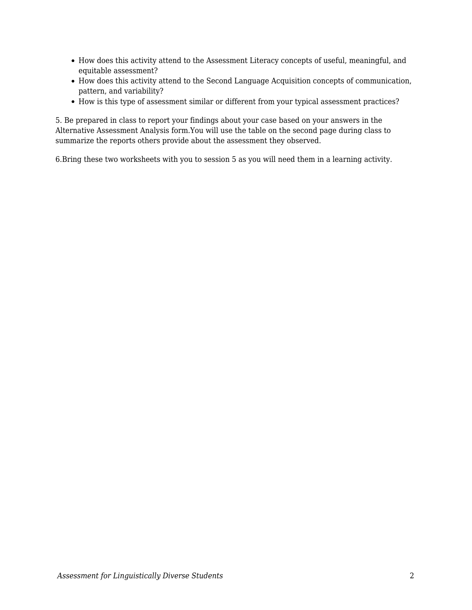- How does this activity attend to the Assessment Literacy concepts of useful, meaningful, and equitable assessment?
- How does this activity attend to the Second Language Acquisition concepts of communication, pattern, and variability?
- How is this type of assessment similar or different from your typical assessment practices?

5. Be prepared in class to report your findings about your case based on your answers in the Alternative Assessment Analysis form.You will use the table on the second page during class to summarize the reports others provide about the assessment they observed.

6.Bring these two worksheets with you to session 5 as you will need them in a learning activity.